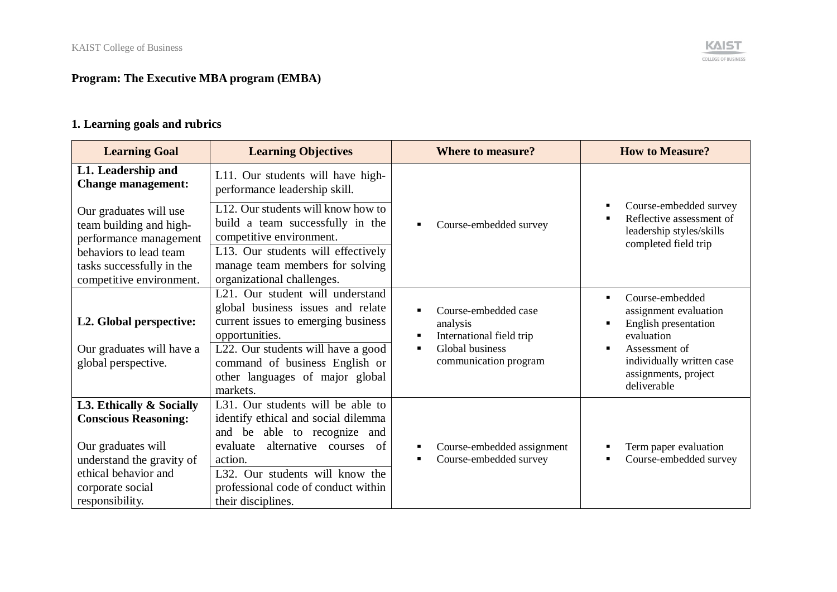# **Program: The Executive MBA program (EMBA)**

# **1. Learning goals and rubrics**

| <b>Learning Goal</b>                                                                                                                                                      | <b>Learning Objectives</b>                                                                                                                                                                                                                                   | <b>Where to measure?</b>                                                                                                                     | <b>How to Measure?</b>                                                                                                                                                                |
|---------------------------------------------------------------------------------------------------------------------------------------------------------------------------|--------------------------------------------------------------------------------------------------------------------------------------------------------------------------------------------------------------------------------------------------------------|----------------------------------------------------------------------------------------------------------------------------------------------|---------------------------------------------------------------------------------------------------------------------------------------------------------------------------------------|
| L1. Leadership and<br><b>Change management:</b>                                                                                                                           | L11. Our students will have high-<br>performance leadership skill.                                                                                                                                                                                           |                                                                                                                                              |                                                                                                                                                                                       |
| Our graduates will use<br>team building and high-<br>performance management                                                                                               | L12. Our students will know how to<br>build a team successfully in the<br>competitive environment.                                                                                                                                                           | Course-embedded survey                                                                                                                       | Course-embedded survey<br>Reflective assessment of<br>leadership styles/skills<br>completed field trip                                                                                |
| behaviors to lead team<br>tasks successfully in the<br>competitive environment.                                                                                           | L13. Our students will effectively<br>manage team members for solving<br>organizational challenges.                                                                                                                                                          |                                                                                                                                              |                                                                                                                                                                                       |
| L2. Global perspective:<br>Our graduates will have a<br>global perspective.                                                                                               | L21. Our student will understand<br>global business issues and relate<br>current issues to emerging business<br>opportunities.<br>L22. Our students will have a good<br>command of business English or<br>other languages of major global<br>markets.        | Course-embedded case<br>analysis<br>International field trip<br>$\blacksquare$<br>Global business<br>$\blacksquare$<br>communication program | Course-embedded<br>$\blacksquare$<br>assignment evaluation<br>English presentation<br>evaluation<br>Assessment of<br>individually written case<br>assignments, project<br>deliverable |
| L3. Ethically & Socially<br><b>Conscious Reasoning:</b><br>Our graduates will<br>understand the gravity of<br>ethical behavior and<br>corporate social<br>responsibility. | L31. Our students will be able to<br>identify ethical and social dilemma<br>and be able to recognize and<br>alternative courses<br>of<br>evaluate<br>action.<br>L32. Our students will know the<br>professional code of conduct within<br>their disciplines. | Course-embedded assignment<br>Course-embedded survey                                                                                         | Term paper evaluation<br>Course-embedded survey                                                                                                                                       |

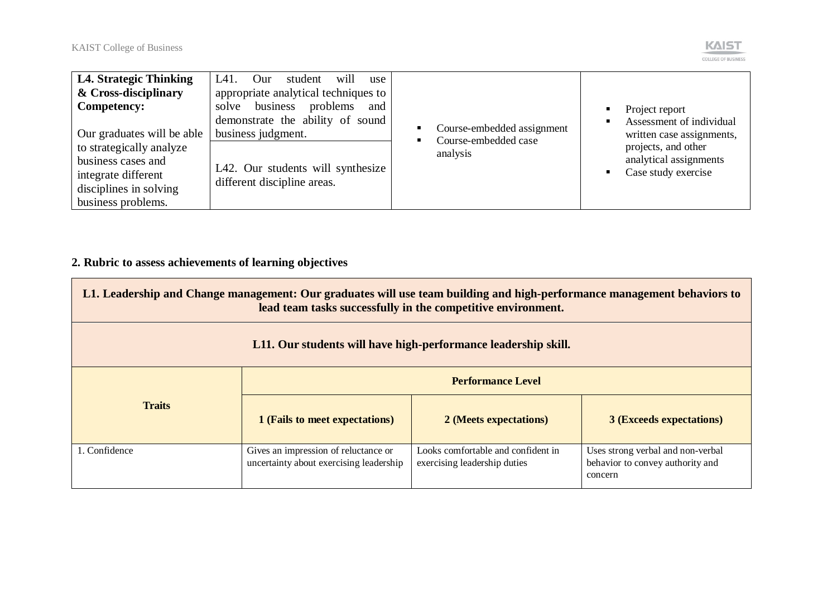

| <b>L4. Strategic Thinking</b><br>& Cross-disciplinary<br><b>Competency:</b><br>Our graduates will be able             | L41.<br>will<br>Our<br>student<br>use<br>appropriate analytical techniques to<br>business<br>problems<br>solve<br>and<br>demonstrate the ability of sound<br>business judgment. | Course-embedded assignment       | Project report<br>Assessment of individual<br>written case assignments, |
|-----------------------------------------------------------------------------------------------------------------------|---------------------------------------------------------------------------------------------------------------------------------------------------------------------------------|----------------------------------|-------------------------------------------------------------------------|
| to strategically analyze<br>business cases and<br>integrate different<br>disciplines in solving<br>business problems. | L42. Our students will synthesize<br>different discipline areas.                                                                                                                | Course-embedded case<br>analysis | projects, and other<br>analytical assignments<br>Case study exercise    |

# **2. Rubric to assess achievements of learning objectives**

| L1. Leadership and Change management: Our graduates will use team building and high-performance management behaviors to<br>lead team tasks successfully in the competitive environment. |                                                                                 |                                                                    |                                                                                  |  |  |
|-----------------------------------------------------------------------------------------------------------------------------------------------------------------------------------------|---------------------------------------------------------------------------------|--------------------------------------------------------------------|----------------------------------------------------------------------------------|--|--|
| L11. Our students will have high-performance leadership skill.                                                                                                                          |                                                                                 |                                                                    |                                                                                  |  |  |
|                                                                                                                                                                                         | <b>Performance Level</b>                                                        |                                                                    |                                                                                  |  |  |
| <b>Traits</b><br>1 (Fails to meet expectations)<br>2 (Meets expectations)<br><b>3 (Exceeds expectations)</b>                                                                            |                                                                                 |                                                                    |                                                                                  |  |  |
| 1. Confidence                                                                                                                                                                           | Gives an impression of reluctance or<br>uncertainty about exercising leadership | Looks comfortable and confident in<br>exercising leadership duties | Uses strong verbal and non-verbal<br>behavior to convey authority and<br>concern |  |  |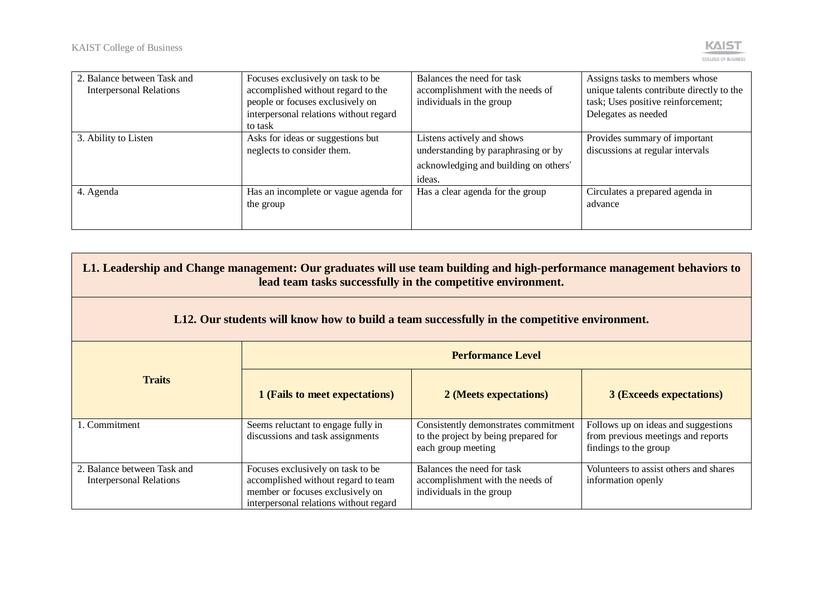

| 2. Balance between Task and    | Focuses exclusively on task to be      | Balances the need for task            | Assigns tasks to members whose            |
|--------------------------------|----------------------------------------|---------------------------------------|-------------------------------------------|
| <b>Interpersonal Relations</b> | accomplished without regard to the     | accomplishment with the needs of      | unique talents contribute directly to the |
|                                | people or focuses exclusively on       | individuals in the group              | task; Uses positive reinforcement;        |
|                                | interpersonal relations without regard |                                       | Delegates as needed                       |
|                                | to task                                |                                       |                                           |
| 3. Ability to Listen           | Asks for ideas or suggestions but      | Listens actively and shows            | Provides summary of important             |
|                                | neglects to consider them.             | understanding by paraphrasing or by   | discussions at regular intervals          |
|                                |                                        | acknowledging and building on others' |                                           |
|                                |                                        | ideas.                                |                                           |
| 4. Agenda                      | Has an incomplete or vague agenda for  | Has a clear agenda for the group      | Circulates a prepared agenda in           |
|                                | the group                              |                                       | advance                                   |
|                                |                                        |                                       |                                           |
|                                |                                        |                                       |                                           |

| L1. Leadership and Change management: Our graduates will use team building and high-performance management behaviors to<br>lead team tasks successfully in the competitive environment. |                                                                                                                                                        |                                                                                                    |                                                                                                    |  |
|-----------------------------------------------------------------------------------------------------------------------------------------------------------------------------------------|--------------------------------------------------------------------------------------------------------------------------------------------------------|----------------------------------------------------------------------------------------------------|----------------------------------------------------------------------------------------------------|--|
| L12. Our students will know how to build a team successfully in the competitive environment.                                                                                            |                                                                                                                                                        |                                                                                                    |                                                                                                    |  |
|                                                                                                                                                                                         |                                                                                                                                                        | <b>Performance Level</b>                                                                           |                                                                                                    |  |
| <b>Traits</b>                                                                                                                                                                           | 1 (Fails to meet expectations)                                                                                                                         | 2 (Meets expectations)                                                                             | <b>3 (Exceeds expectations)</b>                                                                    |  |
| 1. Commitment                                                                                                                                                                           | Seems reluctant to engage fully in<br>discussions and task assignments                                                                                 | Consistently demonstrates commitment<br>to the project by being prepared for<br>each group meeting | Follows up on ideas and suggestions<br>from previous meetings and reports<br>findings to the group |  |
| 2. Balance between Task and<br>Interpersonal Relations                                                                                                                                  | Focuses exclusively on task to be<br>accomplished without regard to team<br>member or focuses exclusively on<br>interpersonal relations without regard | Balances the need for task<br>accomplishment with the needs of<br>individuals in the group         | Volunteers to assist others and shares<br>information openly                                       |  |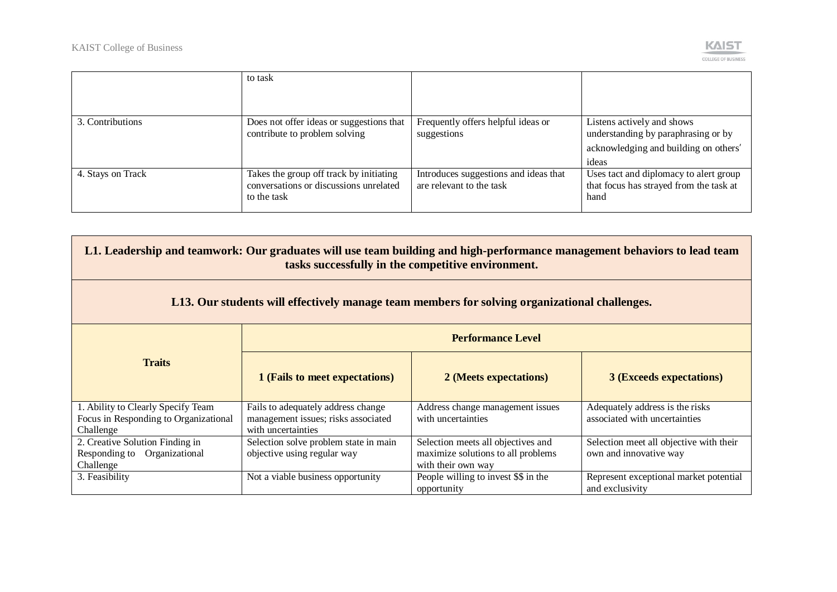

|                   | to task                                                                                          |                                                                   |                                                                                                                     |
|-------------------|--------------------------------------------------------------------------------------------------|-------------------------------------------------------------------|---------------------------------------------------------------------------------------------------------------------|
| 3. Contributions  | Does not offer ideas or suggestions that<br>contribute to problem solving                        | Frequently offers helpful ideas or<br>suggestions                 | Listens actively and shows<br>understanding by paraphrasing or by<br>acknowledging and building on others'<br>ideas |
| 4. Stays on Track | Takes the group off track by initiating<br>conversations or discussions unrelated<br>to the task | Introduces suggestions and ideas that<br>are relevant to the task | Uses tact and diplomacy to alert group<br>that focus has strayed from the task at<br>hand                           |

| L1. Leadership and teamwork: Our graduates will use team building and high-performance management behaviors to lead team<br>tasks successfully in the competitive environment. |                                                                                                 |                                                                                                |                                                                   |  |
|--------------------------------------------------------------------------------------------------------------------------------------------------------------------------------|-------------------------------------------------------------------------------------------------|------------------------------------------------------------------------------------------------|-------------------------------------------------------------------|--|
| L13. Our students will effectively manage team members for solving organizational challenges.                                                                                  |                                                                                                 |                                                                                                |                                                                   |  |
|                                                                                                                                                                                | <b>Performance Level</b>                                                                        |                                                                                                |                                                                   |  |
| <b>Traits</b>                                                                                                                                                                  | 1 (Fails to meet expectations)                                                                  | 2 (Meets expectations)                                                                         | <b>3 (Exceeds expectations)</b>                                   |  |
| 1. Ability to Clearly Specify Team<br>Focus in Responding to Organizational<br>Challenge                                                                                       | Fails to adequately address change<br>management issues; risks associated<br>with uncertainties | Address change management issues<br>with uncertainties                                         | Adequately address is the risks<br>associated with uncertainties  |  |
| 2. Creative Solution Finding in<br>Responding to Organizational<br>Challenge                                                                                                   | Selection solve problem state in main<br>objective using regular way                            | Selection meets all objectives and<br>maximize solutions to all problems<br>with their own way | Selection meet all objective with their<br>own and innovative way |  |
| 3. Feasibility                                                                                                                                                                 | Not a viable business opportunity                                                               | People willing to invest \$\$ in the<br>opportunity                                            | Represent exceptional market potential<br>and exclusivity         |  |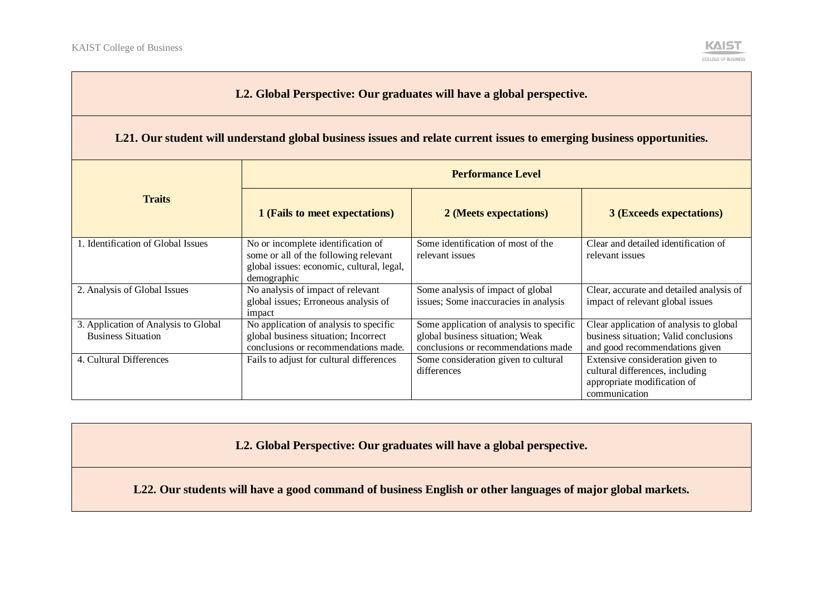

#### **L2. Global Perspective: Our graduates will have a global perspective.**

#### **L21. Our student will understand global business issues and relate current issues to emerging business opportunities.**

|                                                                   | <b>Performance Level</b>                                                                                                                |                                                                                                                    |                                                                                                                     |  |
|-------------------------------------------------------------------|-----------------------------------------------------------------------------------------------------------------------------------------|--------------------------------------------------------------------------------------------------------------------|---------------------------------------------------------------------------------------------------------------------|--|
| <b>Traits</b>                                                     | 1 (Fails to meet expectations)                                                                                                          | 2 (Meets expectations)                                                                                             | <b>3 (Exceeds expectations)</b>                                                                                     |  |
| 1. Identification of Global Issues                                | No or incomplete identification of<br>some or all of the following relevant<br>global issues: economic, cultural, legal,<br>demographic | Some identification of most of the<br>relevant issues                                                              | Clear and detailed identification of<br>relevant issues                                                             |  |
| 2. Analysis of Global Issues                                      | No analysis of impact of relevant<br>global issues; Erroneous analysis of<br>impact                                                     | Some analysis of impact of global<br>issues; Some inaccuracies in analysis                                         | Clear, accurate and detailed analysis of<br>impact of relevant global issues                                        |  |
| 3. Application of Analysis to Global<br><b>Business Situation</b> | No application of analysis to specific<br>global business situation; Incorrect<br>conclusions or recommendations made.                  | Some application of analysis to specific<br>global business situation; Weak<br>conclusions or recommendations made | Clear application of analysis to global<br>business situation; Valid conclusions<br>and good recommendations given  |  |
| 4. Cultural Differences                                           | Fails to adjust for cultural differences                                                                                                | Some consideration given to cultural<br>differences                                                                | Extensive consideration given to<br>cultural differences, including<br>appropriate modification of<br>communication |  |

**L2. Global Perspective: Our graduates will have a global perspective.**

**L22. Our students will have a good command of business English or other languages of major global markets.**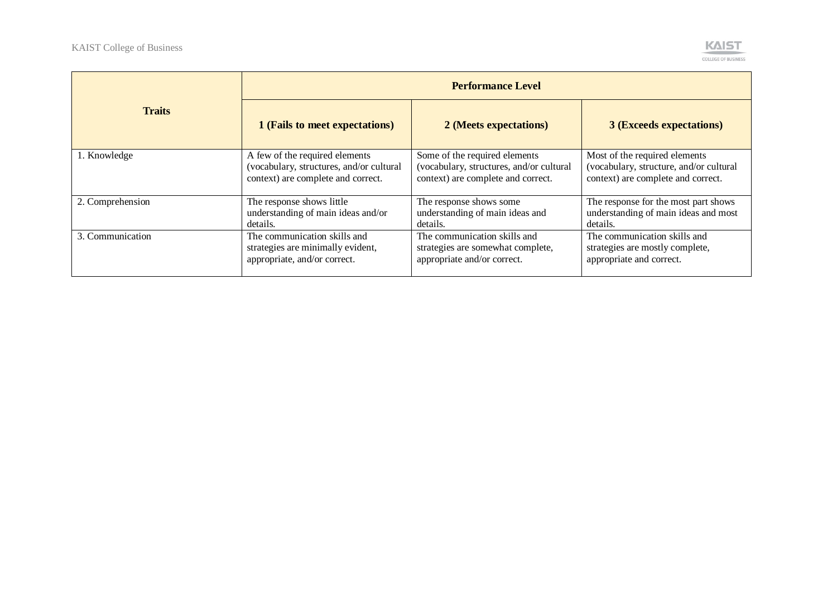

|                  | <b>Performance Level</b>                 |                                          |                                         |  |
|------------------|------------------------------------------|------------------------------------------|-----------------------------------------|--|
| <b>Traits</b>    | 1 (Fails to meet expectations)           | 2 (Meets expectations)                   | <b>3 (Exceeds expectations)</b>         |  |
| 1. Knowledge     | A few of the required elements           | Some of the required elements            | Most of the required elements           |  |
|                  | (vocabulary, structures, and/or cultural | (vocabulary, structures, and/or cultural | (vocabulary, structure, and/or cultural |  |
|                  | context) are complete and correct.       | context) are complete and correct.       | context) are complete and correct.      |  |
| 2. Comprehension | The response shows little                | The response shows some                  | The response for the most part shows    |  |
|                  | understanding of main ideas and/or       | understanding of main ideas and          | understanding of main ideas and most    |  |
|                  | details.                                 | details.                                 | details.                                |  |
| 3. Communication | The communication skills and             | The communication skills and             | The communication skills and            |  |
|                  | strategies are minimally evident,        | strategies are somewhat complete,        | strategies are mostly complete,         |  |
|                  | appropriate, and/or correct.             | appropriate and/or correct.              | appropriate and correct.                |  |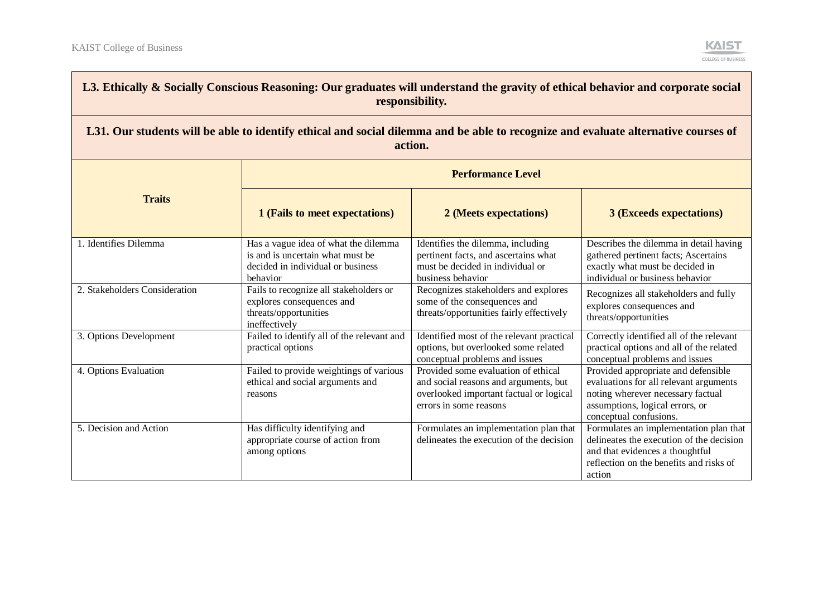

| L3. Ethically & Socially Conscious Reasoning: Our graduates will understand the gravity of ethical behavior and corporate social<br>responsibility. |                                                                                                                           |                                                                                                                                                   |                                                                                                                                                                                 |  |  |
|-----------------------------------------------------------------------------------------------------------------------------------------------------|---------------------------------------------------------------------------------------------------------------------------|---------------------------------------------------------------------------------------------------------------------------------------------------|---------------------------------------------------------------------------------------------------------------------------------------------------------------------------------|--|--|
| L31. Our students will be able to identify ethical and social dilemma and be able to recognize and evaluate alternative courses of<br>action.       |                                                                                                                           |                                                                                                                                                   |                                                                                                                                                                                 |  |  |
|                                                                                                                                                     |                                                                                                                           | <b>Performance Level</b>                                                                                                                          |                                                                                                                                                                                 |  |  |
| <b>Traits</b>                                                                                                                                       | 1 (Fails to meet expectations)                                                                                            | 2 (Meets expectations)                                                                                                                            | <b>3 (Exceeds expectations)</b>                                                                                                                                                 |  |  |
| 1. Identifies Dilemma                                                                                                                               | Has a vague idea of what the dilemma<br>is and is uncertain what must be<br>decided in individual or business<br>behavior | Identifies the dilemma, including<br>pertinent facts, and ascertains what<br>must be decided in individual or<br>business behavior                | Describes the dilemma in detail having<br>gathered pertinent facts; Ascertains<br>exactly what must be decided in<br>individual or business behavior                            |  |  |
| 2. Stakeholders Consideration                                                                                                                       | Fails to recognize all stakeholders or<br>explores consequences and<br>threats/opportunities<br>ineffectively             | Recognizes stakeholders and explores<br>some of the consequences and<br>threats/opportunities fairly effectively                                  | Recognizes all stakeholders and fully<br>explores consequences and<br>threats/opportunities                                                                                     |  |  |
| 3. Options Development                                                                                                                              | Failed to identify all of the relevant and<br>practical options                                                           | Identified most of the relevant practical<br>options, but overlooked some related<br>conceptual problems and issues                               | Correctly identified all of the relevant<br>practical options and all of the related<br>conceptual problems and issues                                                          |  |  |
| 4. Options Evaluation                                                                                                                               | Failed to provide weightings of various<br>ethical and social arguments and<br>reasons                                    | Provided some evaluation of ethical<br>and social reasons and arguments, but<br>overlooked important factual or logical<br>errors in some reasons | Provided appropriate and defensible<br>evaluations for all relevant arguments<br>noting wherever necessary factual<br>assumptions, logical errors, or<br>conceptual confusions. |  |  |
| 5. Decision and Action                                                                                                                              | Has difficulty identifying and<br>appropriate course of action from<br>among options                                      | Formulates an implementation plan that<br>delineates the execution of the decision                                                                | Formulates an implementation plan that<br>delineates the execution of the decision<br>and that evidences a thoughtful<br>reflection on the benefits and risks of<br>action      |  |  |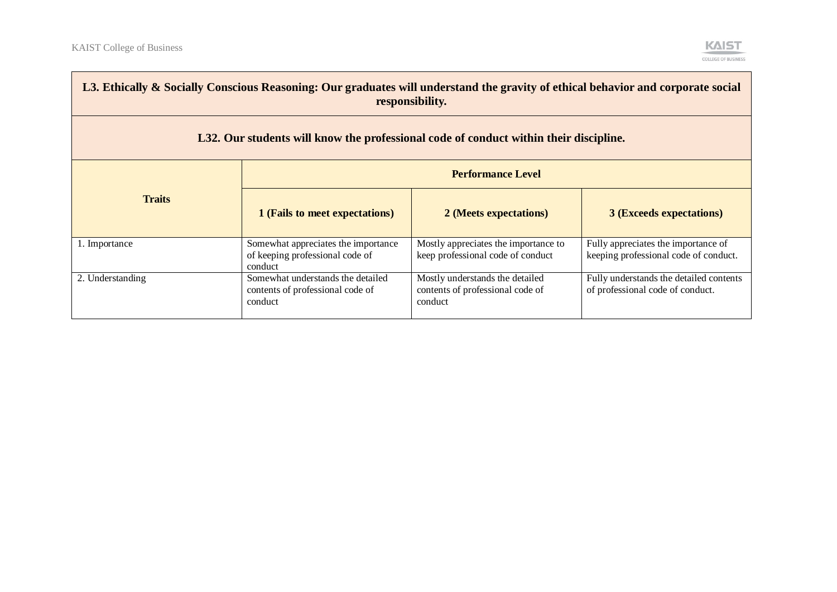and the control of the control of the control of the control of the control of the control of the control of the control of the control of the control of the control of the control of the control of the control of the cont



| L3. Ethically & Socially Conscious Reasoning: Our graduates will understand the gravity of ethical behavior and corporate social<br>responsibility. |                                                                                   |                                                                                |                                                                              |  |
|-----------------------------------------------------------------------------------------------------------------------------------------------------|-----------------------------------------------------------------------------------|--------------------------------------------------------------------------------|------------------------------------------------------------------------------|--|
| L32. Our students will know the professional code of conduct within their discipline.                                                               |                                                                                   |                                                                                |                                                                              |  |
|                                                                                                                                                     | <b>Performance Level</b>                                                          |                                                                                |                                                                              |  |
| <b>Traits</b>                                                                                                                                       | 1 (Fails to meet expectations)                                                    | 2 (Meets expectations)                                                         | <b>3 (Exceeds expectations)</b>                                              |  |
| 1. Importance                                                                                                                                       | Somewhat appreciates the importance<br>of keeping professional code of<br>conduct | Mostly appreciates the importance to<br>keep professional code of conduct      | Fully appreciates the importance of<br>keeping professional code of conduct. |  |
| 2. Understanding                                                                                                                                    | Somewhat understands the detailed<br>contents of professional code of<br>conduct  | Mostly understands the detailed<br>contents of professional code of<br>conduct | Fully understands the detailed contents<br>of professional code of conduct.  |  |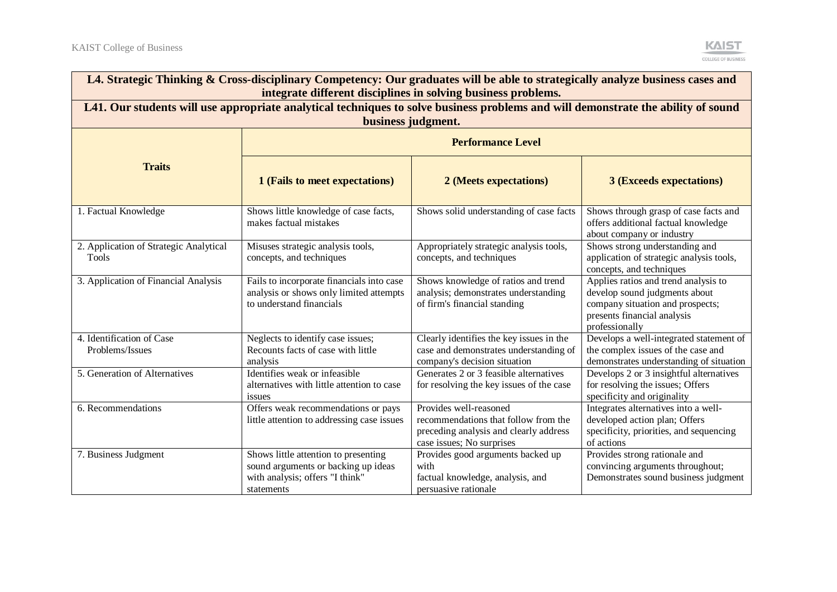| L4. Strategic Thinking & Cross-disciplinary Competency: Our graduates will be able to strategically analyze business cases and<br>integrate different disciplines in solving business problems.                                                                                                                            |                                                                                                                                                         |                                                                                                                                       |                                                                                                                                                            |  |  |  |
|----------------------------------------------------------------------------------------------------------------------------------------------------------------------------------------------------------------------------------------------------------------------------------------------------------------------------|---------------------------------------------------------------------------------------------------------------------------------------------------------|---------------------------------------------------------------------------------------------------------------------------------------|------------------------------------------------------------------------------------------------------------------------------------------------------------|--|--|--|
|                                                                                                                                                                                                                                                                                                                            | L41. Our students will use appropriate analytical techniques to solve business problems and will demonstrate the ability of sound<br>business judgment. |                                                                                                                                       |                                                                                                                                                            |  |  |  |
| <b>Performance Level</b>                                                                                                                                                                                                                                                                                                   |                                                                                                                                                         |                                                                                                                                       |                                                                                                                                                            |  |  |  |
| <b>Traits</b>                                                                                                                                                                                                                                                                                                              | 1 (Fails to meet expectations)<br>2 (Meets expectations)<br><b>3 (Exceeds expectations)</b>                                                             |                                                                                                                                       |                                                                                                                                                            |  |  |  |
| 1. Factual Knowledge                                                                                                                                                                                                                                                                                                       | Shows little knowledge of case facts,<br>makes factual mistakes                                                                                         | Shows solid understanding of case facts                                                                                               | Shows through grasp of case facts and<br>offers additional factual knowledge<br>about company or industry                                                  |  |  |  |
| 2. Application of Strategic Analytical<br>Tools                                                                                                                                                                                                                                                                            | Misuses strategic analysis tools,<br>concepts, and techniques                                                                                           | Appropriately strategic analysis tools,<br>concepts, and techniques                                                                   | Shows strong understanding and<br>application of strategic analysis tools,<br>concepts, and techniques                                                     |  |  |  |
| 3. Application of Financial Analysis                                                                                                                                                                                                                                                                                       | Fails to incorporate financials into case<br>analysis or shows only limited attempts<br>to understand financials                                        | Shows knowledge of ratios and trend<br>analysis; demonstrates understanding<br>of firm's financial standing                           | Applies ratios and trend analysis to<br>develop sound judgments about<br>company situation and prospects;<br>presents financial analysis<br>professionally |  |  |  |
| 4. Identification of Case<br>Problems/Issues                                                                                                                                                                                                                                                                               | Neglects to identify case issues;<br>Recounts facts of case with little<br>analysis                                                                     | Clearly identifies the key issues in the<br>case and demonstrates understanding of<br>company's decision situation                    | Develops a well-integrated statement of<br>the complex issues of the case and<br>demonstrates understanding of situation                                   |  |  |  |
| 5. Generation of Alternatives<br>Identifies weak or infeasible<br>Generates 2 or 3 feasible alternatives<br>Develops 2 or 3 insightful alternatives<br>for resolving the issues; Offers<br>alternatives with little attention to case<br>for resolving the key issues of the case<br>specificity and originality<br>issues |                                                                                                                                                         |                                                                                                                                       |                                                                                                                                                            |  |  |  |
| 6. Recommendations                                                                                                                                                                                                                                                                                                         | Offers weak recommendations or pays<br>little attention to addressing case issues                                                                       | Provides well-reasoned<br>recommendations that follow from the<br>preceding analysis and clearly address<br>case issues; No surprises | Integrates alternatives into a well-<br>developed action plan; Offers<br>specificity, priorities, and sequencing<br>of actions                             |  |  |  |
| 7. Business Judgment                                                                                                                                                                                                                                                                                                       | Shows little attention to presenting<br>sound arguments or backing up ideas<br>with analysis; offers "I think"<br>statements                            | Provides good arguments backed up<br>with<br>factual knowledge, analysis, and<br>persuasive rationale                                 | Provides strong rationale and<br>convincing arguments throughout;<br>Demonstrates sound business judgment                                                  |  |  |  |